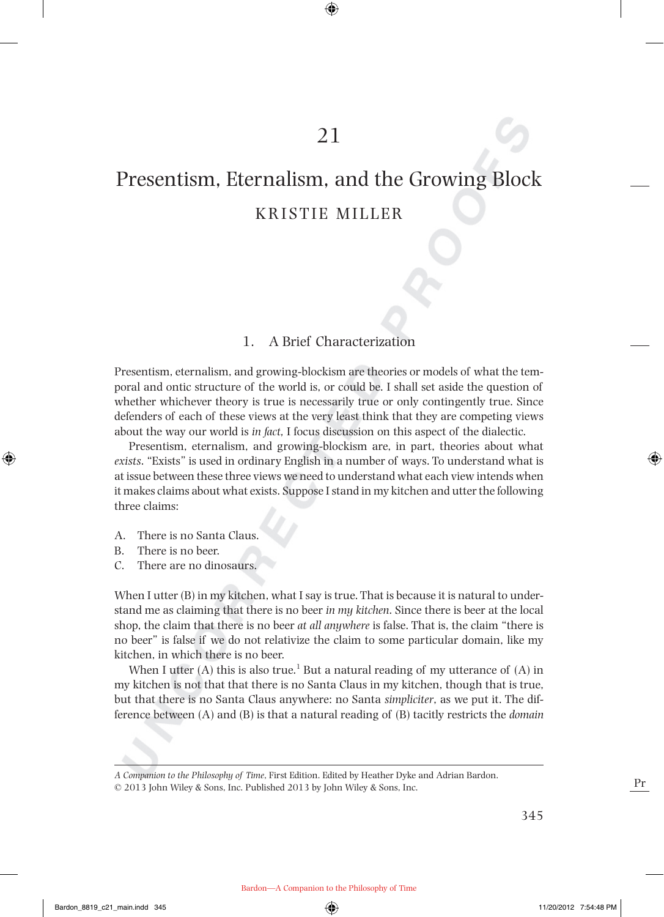## 21

 $\circledast$ 

# Presentism, Eternalism, and the Growing Block KRISTIE MILLER

## 1. A Brief Characterization

Presentism, eternalism, and growing-blockism are theories or models of what the temporal and ontic structure of the world is, or could be. I shall set aside the question of whether whichever theory is true is necessarily true or only contingently true. Since defenders of each of these views at the very least think that they are competing views about the way our world is *in fact,* I focus discussion on this aspect of the dialectic.

Presentism, eternalism, and growing-blockism are, in part, theories about what *exists*. "Exists" is used in ordinary English in a number of ways. To understand what is at issue between these three views we need to understand what each view intends when it makes claims about what exists. Suppose I stand in my kitchen and utter the following three claims:

- A. There is no Santa Claus.
- B. There is no beer.

⊕

C. There are no dinosaurs.

When I utter (B) in my kitchen, what I say is true. That is because it is natural to understand me as claiming that there is no beer *in my kitchen*. Since there is beer at the local shop, the claim that there is no beer *at all anywhere* is false. That is, the claim "there is no beer" is false if we do not relativize the claim to some particular domain, like my kitchen, in which there is no beer.

When I utter (A) this is also true.<sup>1</sup> But a natural reading of my utterance of (A) in my kitchen is not that that there is no Santa Claus in my kitchen, though that is true, but that there is no Santa Claus anywhere: no Santa *simpliciter*, as we put it. The difference between (A) and (B) is that a natural reading of (B) tacitly restricts the *domain* 

*A Companion to the Philosophy of Time*, First Edition. Edited by Heather Dyke and Adrian Bardon. © 2013 John Wiley & Sons, Inc. Published 2013 by John Wiley & Sons, Inc.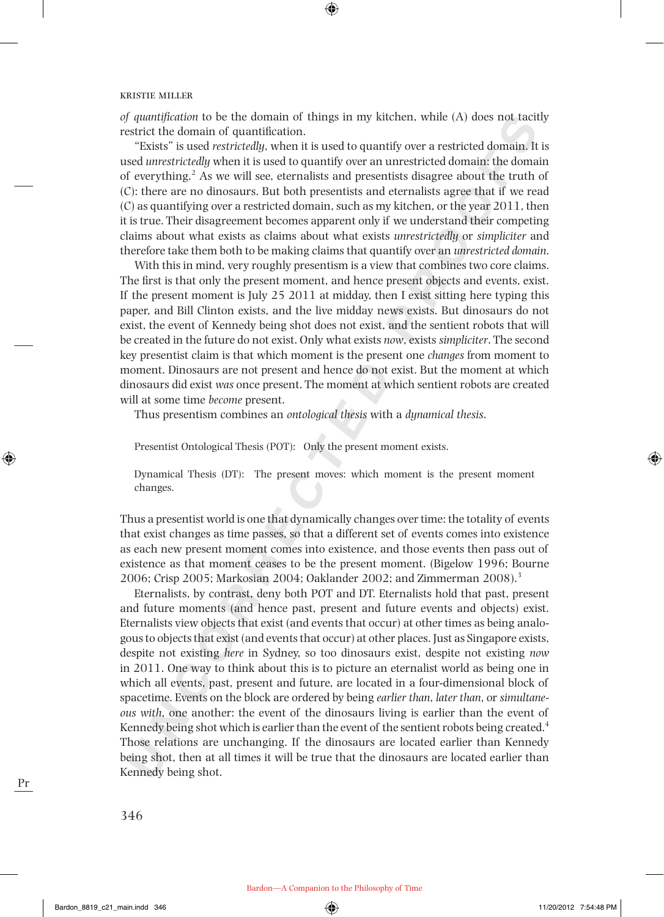*of quantification* to be the domain of things in my kitchen, while (A) does not tacitly restrict the domain of quantification.

 $\circledast$ 

"Exists" is used *restrictedly*, when it is used to quantify over a restricted domain. It is used *unrestrictedly* when it is used to quantify over an unrestricted domain: the domain of everything.<sup>2</sup> As we will see, eternalists and presentists disagree about the truth of (C): there are no dinosaurs. But both presentists and eternalists agree that if we read (C) as quantifying over a restricted domain, such as my kitchen, or the year 2011, then it is true. Their disagreement becomes apparent only if we understand their competing claims about what exists as claims about what exists *unrestrictedly* or *simpliciter* and therefore take them both to be making claims that quantify over an *unrestricted domain*.

With this in mind, very roughly presentism is a view that combines two core claims. The first is that only the present moment, and hence present objects and events, exist. If the present moment is July 25 2011 at midday, then I exist sitting here typing this paper, and Bill Clinton exists, and the live midday news exists. But dinosaurs do not exist, the event of Kennedy being shot does not exist, and the sentient robots that will be created in the future do not exist. Only what exists *now*, exists *simpliciter*. The second key presentist claim is that which moment is the present one *changes* from moment to moment. Dinosaurs are not present and hence do not exist. But the moment at which dinosaurs did exist *was* once present. The moment at which sentient robots are created will at some time *become* present.

Thus presentism combines an *ontological thesis* with a *dynamical thesis*.

Presentist Ontological Thesis (POT): Only the present moment exists.

Dynamical Thesis (DT): The present moves: which moment is the present moment changes.

Thus a presentist world is one that dynamically changes over time: the totality of events that exist changes as time passes, so that a different set of events comes into existence as each new present moment comes into existence, and those events then pass out of existence as that moment ceases to be the present moment. (Bigelow 1996; Bourne 2006; Crisp 2005; Markosian 2004; Oaklander 2002; and Zimmerman 2008).3

Eternalists, by contrast, deny both POT and DT. Eternalists hold that past, present and future moments (and hence past, present and future events and objects) exist. Eternalists view objects that exist (and events that occur) at other times as being analogous to objects that exist (and events that occur) at other places. Just as Singapore exists, despite not existing *here* in Sydney, so too dinosaurs exist, despite not existing *now* in 2011. One way to think about this is to picture an eternalist world as being one in which all events, past, present and future, are located in a four-dimensional block of spacetime. Events on the block are ordered by being *earlier than*, *later than*, or *simultaneous with*, one another: the event of the dinosaurs living is earlier than the event of Kennedy being shot which is earlier than the event of the sentient robots being created.<sup>4</sup> Those relations are unchanging. If the dinosaurs are located earlier than Kennedy being shot, then at all times it will be true that the dinosaurs are located earlier than Kennedy being shot.

346

Pr

⊕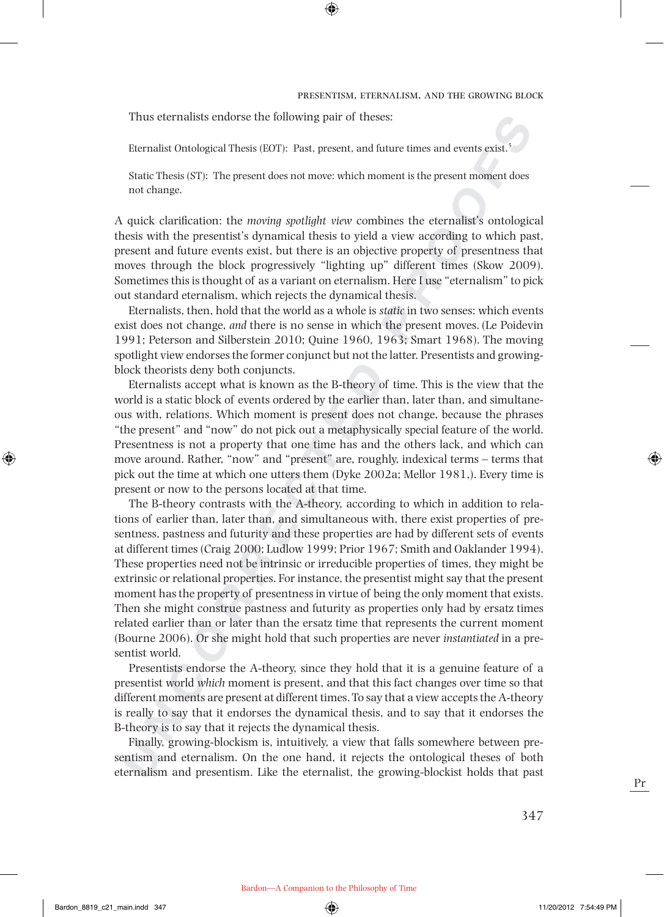Thus eternalists endorse the following pair of theses:

Eternalist Ontological Thesis (EOT): Past, present, and future times and events exist.<sup>5</sup>

Static Thesis (ST): The present does not move: which moment is the present moment does not change.

 $\circledast$ 

A quick clarification: the *moving spotlight view* combines the eternalist's ontological thesis with the presentist's dynamical thesis to yield a view according to which past, present and future events exist, but there is an objective property of presentness that moves through the block progressively "lighting up" different times (Skow 2009). Sometimes this is thought of as a variant on eternalism. Here I use "eternalism" to pick out standard eternalism, which rejects the dynamical thesis.

Eternalists, then, hold that the world as a whole is *static* in two senses: which events exist does not change, *and* there is no sense in which the present moves. (Le Poidevin 1991; Peterson and Silberstein 2010; Quine 1960, 1963; Smart 1968). The moving spotlight view endorses the former conjunct but not the latter. Presentists and growingblock theorists deny both conjuncts.

Eternalists accept what is known as the B-theory of time. This is the view that the world is a static block of events ordered by the earlier than, later than, and simultaneous with, relations. Which moment is present does not change, because the phrases "the present" and "now" do not pick out a metaphysically special feature of the world. Presentness is not a property that one time has and the others lack, and which can move around. Rather, "now" and "present" are, roughly, indexical terms – terms that pick out the time at which one utters them (Dyke 2002a; Mellor 1981,). Every time is present or now to the persons located at that time.

The B-theory contrasts with the A-theory, according to which in addition to relations of earlier than, later than, and simultaneous with, there exist properties of presentness, pastness and futurity and these properties are had by different sets of events at different times (Craig 2000; Ludlow 1999; Prior 1967; Smith and Oaklander 1994). These properties need not be intrinsic or irreducible properties of times, they might be extrinsic or relational properties. For instance, the presentist might say that the present moment has the property of presentness in virtue of being the only moment that exists. Then she might construe pastness and futurity as properties only had by ersatz times related earlier than or later than the ersatz time that represents the current moment (Bourne 2006). Or she might hold that such properties are never *instantiated* in a presentist world.

Presentists endorse the A-theory, since they hold that it is a genuine feature of a presentist world *which* moment is present, and that this fact changes over time so that different moments are present at different times. To say that a view accepts the A-theory is really to say that it endorses the dynamical thesis, and to say that it endorses the B-theory is to say that it rejects the dynamical thesis.

Finally, growing-blockism is, intuitively, a view that falls somewhere between presentism and eternalism. On the one hand, it rejects the ontological theses of both eternalism and presentism. Like the eternalist, the growing-blockist holds that past

⊕

Pr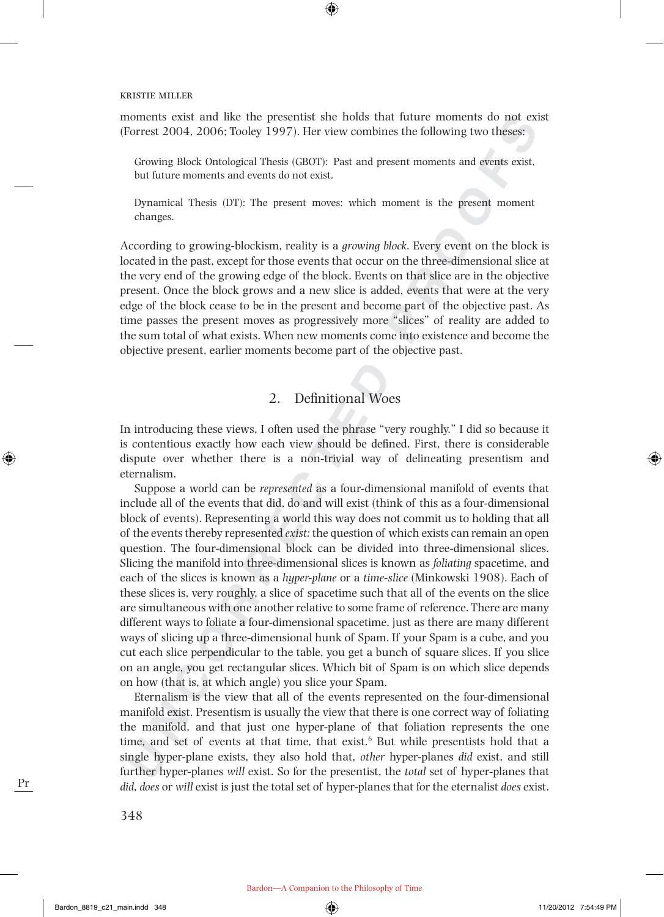moments exist and like the presentist she holds that future moments do not exist (Forrest 2004, 2006; Tooley 1997). Her view combines the following two theses:

 $\circledast$ 

Growing Block Ontological Thesis (GBOT): Past and present moments and events exist, but future moments and events do not exist.

Dynamical Thesis (DT): The present moves: which moment is the present moment changes.

According to growing-blockism, reality is a *growing block*. Every event on the block is located in the past, except for those events that occur on the three-dimensional slice at the very end of the growing edge of the block. Events on that slice are in the objective present. Once the block grows and a new slice is added, events that were at the very edge of the block cease to be in the present and become part of the objective past. As time passes the present moves as progressively more "slices" of reality are added to the sum total of what exists. When new moments come into existence and become the objective present, earlier moments become part of the objective past.

## 2. Definitional Woes

In introducing these views, I often used the phrase "very roughly." I did so because it is contentious exactly how each view should be defined. First, there is considerable dispute over whether there is a non-trivial way of delineating presentism and eternalism.

Suppose a world can be *represented* as a four-dimensional manifold of events that include all of the events that did, do and will exist (think of this as a four-dimensional block of events). Representing a world this way does not commit us to holding that all of the events thereby represented *exist:* the question of which exists can remain an open question. The four-dimensional block can be divided into three-dimensional slices. Slicing the manifold into three-dimensional slices is known as *foliating* spacetime, and each of the slices is known as a *hyper-plane* or a *time-slice* (Minkowski 1908). Each of these slices is, very roughly, a slice of spacetime such that all of the events on the slice are simultaneous with one another relative to some frame of reference. There are many different ways to foliate a four-dimensional spacetime, just as there are many different ways of slicing up a three-dimensional hunk of Spam. If your Spam is a cube, and you cut each slice perpendicular to the table, you get a bunch of square slices. If you slice on an angle, you get rectangular slices. Which bit of Spam is on which slice depends on how (that is, at which angle) you slice your Spam.

Eternalism is the view that all of the events represented on the four-dimensional manifold exist. Presentism is usually the view that there is one correct way of foliating the manifold, and that just one hyper-plane of that foliation represents the one time, and set of events at that time, that exist.<sup>6</sup> But while presentists hold that a single hyper-plane exists, they also hold that, *other* hyper-planes *did* exist, and still further hyper-planes *will* exist. So for the presentist, the *total* set of hyper-planes that *did*, *does* or *will* exist is just the total set of hyper-planes that for the eternalist *does* exist.

348

Pr

⊕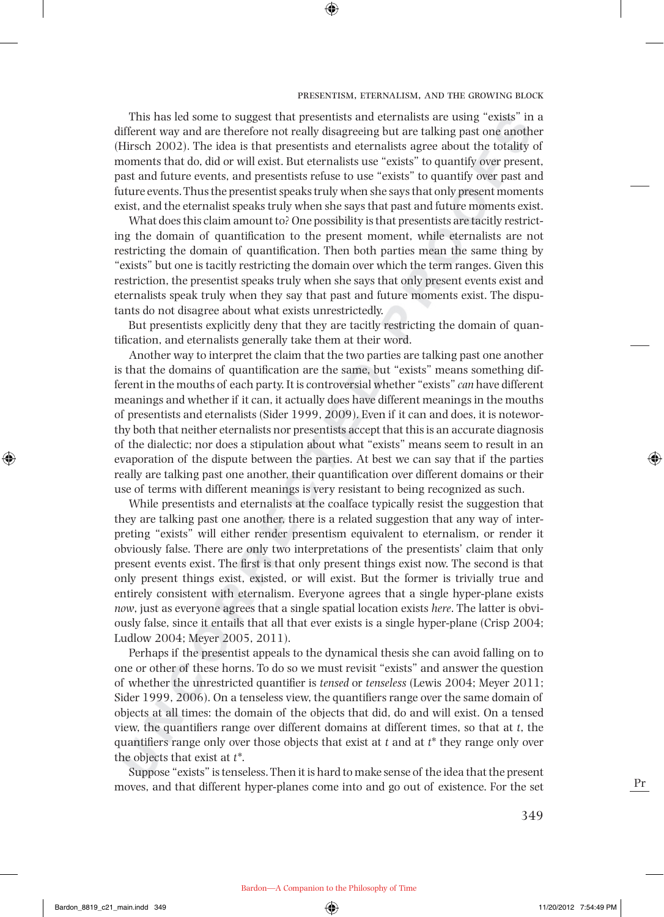This has led some to suggest that presentists and eternalists are using "exists" in a different way and are therefore not really disagreeing but are talking past one another (Hirsch 2002). The idea is that presentists and eternalists agree about the totality of moments that do, did or will exist. But eternalists use "exists" to quantify over present, past and future events, and presentists refuse to use "exists" to quantify over past and future events. Thus the presentist speaks truly when she says that only present moments exist, and the eternalist speaks truly when she says that past and future moments exist.

 $\circledast$ 

What does this claim amount to? One possibility is that presentists are tacitly restricting the domain of quantification to the present moment, while eternalists are not restricting the domain of quantification. Then both parties mean the same thing by "exists" but one is tacitly restricting the domain over which the term ranges. Given this restriction, the presentist speaks truly when she says that only present events exist and eternalists speak truly when they say that past and future moments exist. The disputants do not disagree about what exists unrestrictedly.

But presentists explicitly deny that they are tacitly restricting the domain of quantification, and eternalists generally take them at their word.

Another way to interpret the claim that the two parties are talking past one another is that the domains of quantification are the same, but "exists" means something different in the mouths of each party. It is controversial whether "exists" *can* have different meanings and whether if it can, it actually does have different meanings in the mouths of presentists and eternalists (Sider 1999, 2009). Even if it can and does, it is noteworthy both that neither eternalists nor presentists accept that this is an accurate diagnosis of the dialectic; nor does a stipulation about what "exists" means seem to result in an evaporation of the dispute between the parties. At best we can say that if the parties really are talking past one another, their quantification over different domains or their use of terms with different meanings is very resistant to being recognized as such.

While presentists and eternalists at the coalface typically resist the suggestion that they are talking past one another, there is a related suggestion that any way of interpreting "exists" will either render presentism equivalent to eternalism, or render it obviously false. There are only two interpretations of the presentists' claim that only present events exist. The first is that only present things exist now. The second is that only present things exist, existed, or will exist. But the former is trivially true and entirely consistent with eternalism. Everyone agrees that a single hyper-plane exists *now*, just as everyone agrees that a single spatial location exists *here*. The latter is obviously false, since it entails that all that ever exists is a single hyper-plane (Crisp 2004; Ludlow 2004; Meyer 2005, 2011).

Perhaps if the presentist appeals to the dynamical thesis she can avoid falling on to one or other of these horns. To do so we must revisit "exists" and answer the question of whether the unrestricted quantifier is *tensed* or *tenseless* (Lewis 2004; Meyer 2011; Sider 1999, 2006). On a tenseless view, the quantifiers range over the same domain of objects at all times: the domain of the objects that did, do and will exist. On a tensed view, the quantifiers range over different domains at different times, so that at *t*, the quantifiers range only over those objects that exist at *t* and at *t*\* they range only over the objects that exist at *t\**.

Suppose "exists" is tenseless. Then it is hard to make sense of the idea that the present moves, and that different hyper-planes come into and go out of existence. For the set

⊕

Pr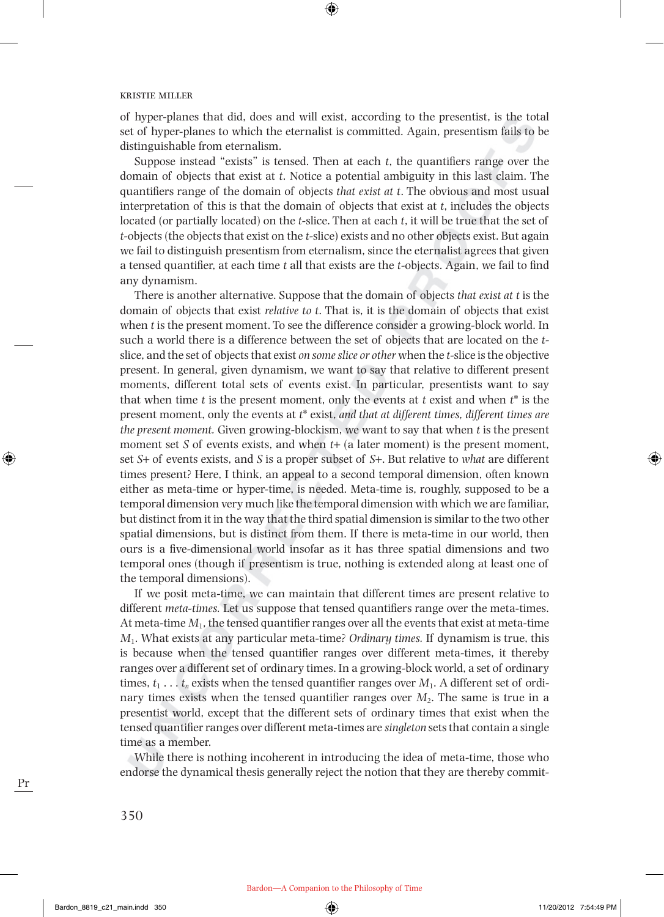of hyper-planes that did, does and will exist, according to the presentist, is the total set of hyper-planes to which the eternalist is committed. Again, presentism fails to be distinguishable from eternalism.

 $\circledast$ 

Suppose instead "exists" is tensed. Then at each *t*, the quantifiers range over the domain of objects that exist at *t*. Notice a potential ambiguity in this last claim. The quantifiers range of the domain of objects *that exist at t*. The obvious and most usual interpretation of this is that the domain of objects that exist at *t*, includes the objects located (or partially located) on the *t*-slice. Then at each *t*, it will be true that the set of *t*-objects (the objects that exist on the *t*-slice) exists and no other objects exist. But again we fail to distinguish presentism from eternalism, since the eternalist agrees that given a tensed quantifier, at each time *t* all that exists are the *t*-objects. Again, we fail to find any dynamism.

There is another alternative. Suppose that the domain of objects *that exist at t* is the domain of objects that exist *relative to t*. That is, it is the domain of objects that exist when *t* is the present moment. To see the difference consider a growing-block world. In such a world there is a difference between the set of objects that are located on the *t*slice, and the set of objects that exist *on some slice or other* when the *t*-slice is the objective present. In general, given dynamism, we want to say that relative to different present moments, different total sets of events exist. In particular, presentists want to say that when time *t* is the present moment, only the events at *t* exist and when *t*\* is the present moment, only the events at *t*\* exist, *and that at different times, different times are the present moment.* Given growing-blockism, we want to say that when *t* is the present moment set *S* of events exists, and when  $t+$  (a later moment) is the present moment, set *S*+ of events exists, and *S* is a proper subset of *S*+. But relative to *what* are different times present? Here, I think, an appeal to a second temporal dimension, often known either as meta-time or hyper-time, is needed. Meta-time is, roughly, supposed to be a temporal dimension very much like the temporal dimension with which we are familiar, but distinct from it in the way that the third spatial dimension is similar to the two other spatial dimensions, but is distinct from them. If there is meta-time in our world, then ours is a five-dimensional world insofar as it has three spatial dimensions and two temporal ones (though if presentism is true, nothing is extended along at least one of the temporal dimensions).

If we posit meta-time, we can maintain that different times are present relative to different *meta-times.* Let us suppose that tensed quantifiers range over the meta-times. At meta-time *M*1, the tensed quantifier ranges over all the events that exist at meta-time *M*1. What exists at any particular meta-time? *Ordinary times.* If dynamism is true, this is because when the tensed quantifier ranges over different meta-times, it thereby ranges over a different set of ordinary times. In a growing-block world, a set of ordinary times,  $t_1 \ldots t_n$  exists when the tensed quantifier ranges over  $M_1$ . A different set of ordinary times exists when the tensed quantifier ranges over *M*2. The same is true in a presentist world, except that the different sets of ordinary times that exist when the tensed quantifier ranges over different meta-times are *singleton* sets that contain a single time as a member.

While there is nothing incoherent in introducing the idea of meta-time, those who endorse the dynamical thesis generally reject the notion that they are thereby commit-

Pr

⊕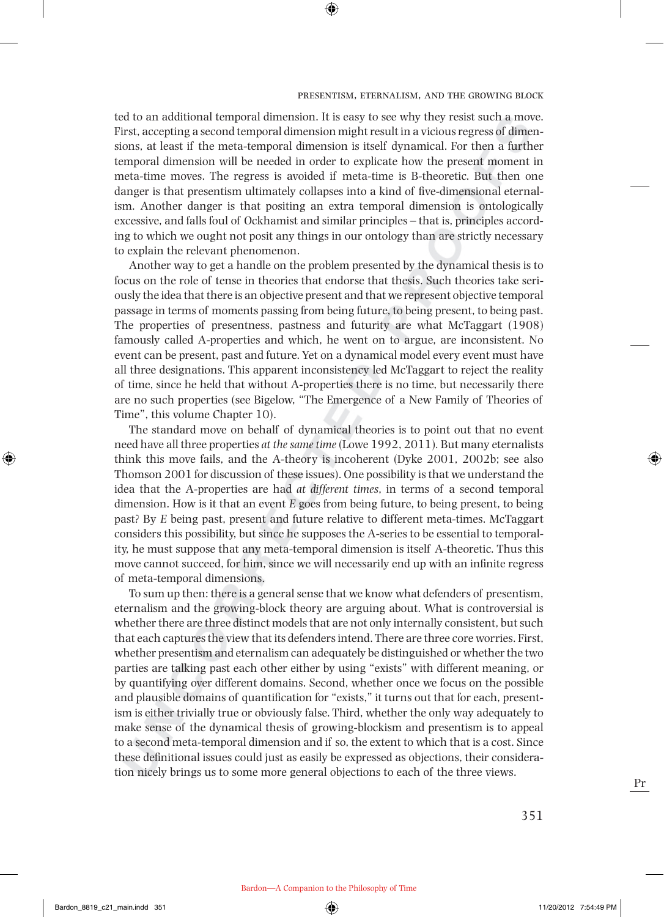ted to an additional temporal dimension. It is easy to see why they resist such a move. First, accepting a second temporal dimension might result in a vicious regress of dimensions, at least if the meta-temporal dimension is itself dynamical. For then a further temporal dimension will be needed in order to explicate how the present moment in meta-time moves. The regress is avoided if meta-time is B-theoretic. But then one danger is that presentism ultimately collapses into a kind of five-dimensional eternalism. Another danger is that positing an extra temporal dimension is ontologically excessive, and falls foul of Ockhamist and similar principles – that is, principles according to which we ought not posit any things in our ontology than are strictly necessary to explain the relevant phenomenon.

 $\circledast$ 

Another way to get a handle on the problem presented by the dynamical thesis is to focus on the role of tense in theories that endorse that thesis. Such theories take seriously the idea that there is an objective present and that we represent objective temporal passage in terms of moments passing from being future, to being present, to being past. The properties of presentness, pastness and futurity are what McTaggart (1908) famously called A-properties and which, he went on to argue, are inconsistent. No event can be present, past and future. Yet on a dynamical model every event must have all three designations. This apparent inconsistency led McTaggart to reject the reality of time, since he held that without A-properties there is no time, but necessarily there are no such properties (see Bigelow, "The Emergence of a New Family of Theories of Time", this volume Chapter 10).

The standard move on behalf of dynamical theories is to point out that no event need have all three properties *at the same time* (Lowe 1992, 2011)*.* But many eternalists think this move fails, and the A-theory is incoherent (Dyke 2001, 2002b; see also Thomson 2001 for discussion of these issues). One possibility is that we understand the idea that the A-properties are had *at different times*, in terms of a second temporal dimension. How is it that an event *E* goes from being future, to being present, to being past? By *E* being past, present and future relative to different meta-times. McTaggart considers this possibility, but since he supposes the A-series to be essential to temporality, he must suppose that any meta-temporal dimension is itself A-theoretic. Thus this move cannot succeed, for him, since we will necessarily end up with an infinite regress of meta-temporal dimensions.

To sum up then: there is a general sense that we know what defenders of presentism, eternalism and the growing-block theory are arguing about. What is controversial is whether there are three distinct models that are not only internally consistent, but such that each captures the view that its defenders intend. There are three core worries. First, whether presentism and eternalism can adequately be distinguished or whether the two parties are talking past each other either by using "exists" with different meaning, or by quantifying over different domains. Second, whether once we focus on the possible and plausible domains of quantification for "exists," it turns out that for each, presentism is either trivially true or obviously false. Third, whether the only way adequately to make sense of the dynamical thesis of growing-blockism and presentism is to appeal to a second meta-temporal dimension and if so, the extent to which that is a cost. Since these definitional issues could just as easily be expressed as objections, their consideration nicely brings us to some more general objections to each of the three views.

⊕

Pr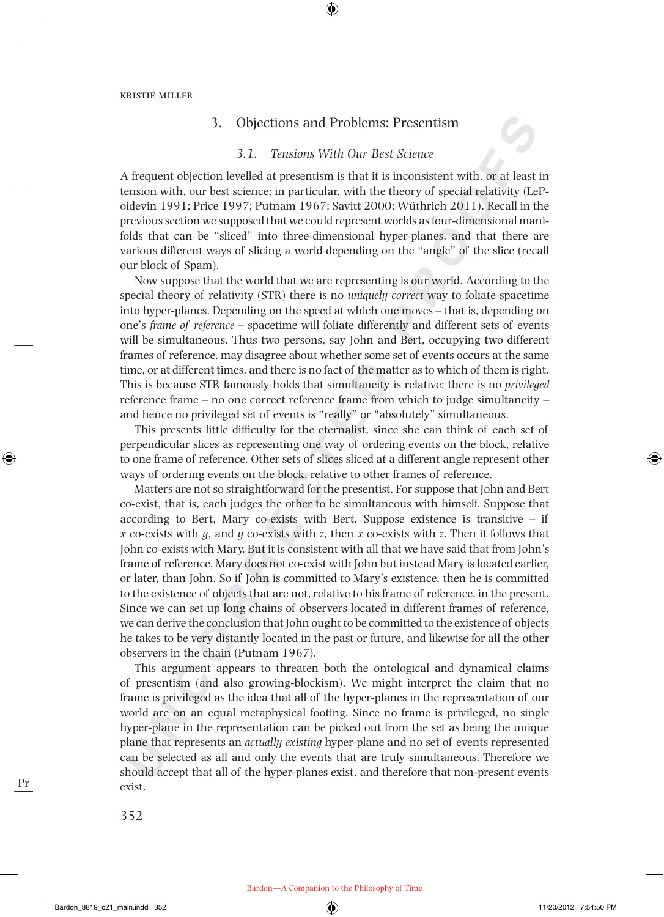## 3. Objections and Problems: Presentism

 $\circledast$ 

#### *3.1. Tensions With Our Best Science*

A frequent objection levelled at presentism is that it is inconsistent with, or at least in tension with, our best science: in particular, with the theory of special relativity (LePoidevin 1991; Price 1997; Putnam 1967; Savitt 2000; Wüthrich 2011). Recall in the previous section we supposed that we could represent worlds as four-dimensional manifolds that can be "sliced" into three-dimensional hyper-planes, and that there are various different ways of slicing a world depending on the "angle" of the slice (recall our block of Spam).

Now suppose that the world that we are representing is our world. According to the special theory of relativity (STR) there is no *uniquely correct* way to foliate spacetime into hyper-planes. Depending on the speed at which one moves – that is, depending on one's *frame of reference* – spacetime will foliate differently and different sets of events will be simultaneous. Thus two persons, say John and Bert, occupying two different frames of reference, may disagree about whether some set of events occurs at the same time, or at different times, and there is no fact of the matter as to which of them is right. This is because STR famously holds that simultaneity is relative: there is no *privileged* reference frame – no one correct reference frame from which to judge simultaneity – and hence no privileged set of events is "really" or "absolutely" simultaneous.

This presents little difficulty for the eternalist, since she can think of each set of perpendicular slices as representing one way of ordering events on the block, relative to one frame of reference. Other sets of slices sliced at a different angle represent other ways of ordering events on the block, relative to other frames of reference.

Matters are not so straightforward for the presentist. For suppose that John and Bert co-exist, that is, each judges the other to be simultaneous with himself. Suppose that according to Bert, Mary co-exists with Bert. Suppose existence is transitive  $-$  if *x* co-exists with *y*, and *y* co-exists with *z*, then *x* co-exists with *z*. Then it follows that John co-exists with Mary. But it is consistent with all that we have said that from John's frame of reference, Mary does not co-exist with John but instead Mary is located earlier, or later, than John. So if John is committed to Mary's existence, then he is committed to the existence of objects that are not, relative to his frame of reference, in the present. Since we can set up long chains of observers located in different frames of reference, we can derive the conclusion that John ought to be committed to the existence of objects he takes to be very distantly located in the past or future, and likewise for all the other observers in the chain (Putnam 1967).

This argument appears to threaten both the ontological and dynamical claims of presentism (and also growing-blockism). We might interpret the claim that no frame is privileged as the idea that all of the hyper-planes in the representation of our world are on an equal metaphysical footing. Since no frame is privileged, no single hyper-plane in the representation can be picked out from the set as being the unique plane that represents an *actually existing* hyper-plane and no set of events represented can be selected as all and only the events that are truly simultaneous. Therefore we should accept that all of the hyper-planes exist, and therefore that non-present events exist.

352

Pr

⊕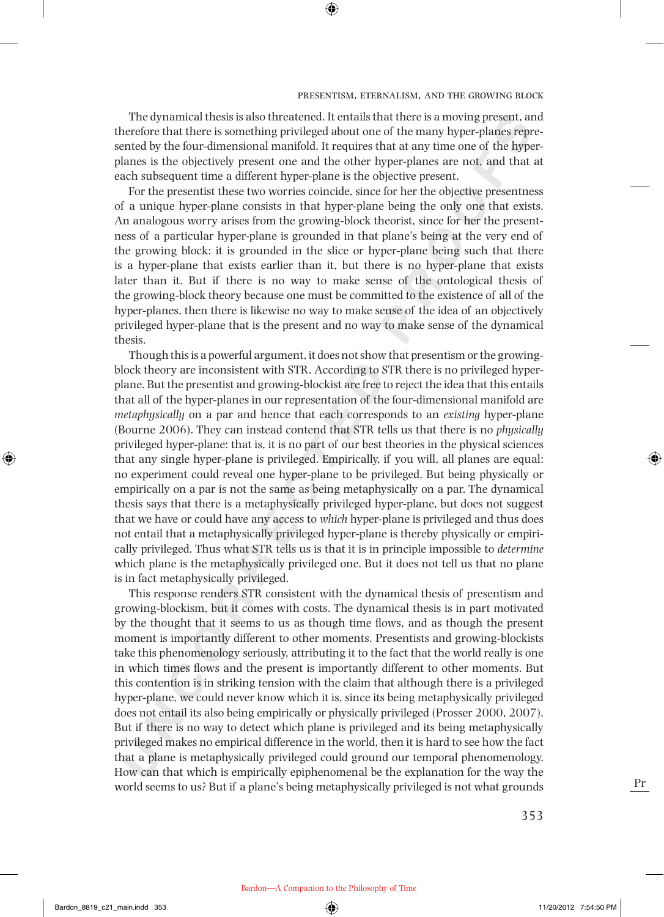The dynamical thesis is also threatened. It entails that there is a moving present, and therefore that there is something privileged about one of the many hyper-planes represented by the four-dimensional manifold. It requires that at any time one of the hyperplanes is the objectively present one and the other hyper-planes are not, and that at each subsequent time a different hyper-plane is the objective present.

 $\circledast$ 

For the presentist these two worries coincide, since for her the objective presentness of a unique hyper-plane consists in that hyper-plane being the only one that exists. An analogous worry arises from the growing-block theorist, since for her the presentness of a particular hyper-plane is grounded in that plane's being at the very end of the growing block: it is grounded in the slice or hyper-plane being such that there is a hyper-plane that exists earlier than it, but there is no hyper-plane that exists later than it. But if there is no way to make sense of the ontological thesis of the growing-block theory because one must be committed to the existence of all of the hyper-planes, then there is likewise no way to make sense of the idea of an objectively privileged hyper-plane that is the present and no way to make sense of the dynamical thesis.

Though this is a powerful argument, it does not show that presentism or the growingblock theory are inconsistent with STR. According to STR there is no privileged hyperplane. But the presentist and growing-blockist are free to reject the idea that this entails that all of the hyper-planes in our representation of the four-dimensional manifold are *metaphysically* on a par and hence that each corresponds to an *existing* hyper-plane (Bourne 2006). They can instead contend that STR tells us that there is no *physically* privileged hyper-plane: that is, it is no part of our best theories in the physical sciences that any single hyper-plane is privileged. Empirically, if you will, all planes are equal: no experiment could reveal one hyper-plane to be privileged. But being physically or empirically on a par is not the same as being metaphysically on a par. The dynamical thesis says that there is a metaphysically privileged hyper-plane, but does not suggest that we have or could have any access to *which* hyper-plane is privileged and thus does not entail that a metaphysically privileged hyper-plane is thereby physically or empirically privileged. Thus what STR tells us is that it is in principle impossible to *determine* which plane is the metaphysically privileged one. But it does not tell us that no plane is in fact metaphysically privileged.

This response renders STR consistent with the dynamical thesis of presentism and growing-blockism, but it comes with costs. The dynamical thesis is in part motivated by the thought that it seems to us as though time flows, and as though the present moment is importantly different to other moments. Presentists and growing-blockists take this phenomenology seriously, attributing it to the fact that the world really is one in which times flows and the present is importantly different to other moments. But this contention is in striking tension with the claim that although there is a privileged hyper-plane, we could never know which it is, since its being metaphysically privileged does not entail its also being empirically or physically privileged (Prosser 2000, 2007). But if there is no way to detect which plane is privileged and its being metaphysically privileged makes no empirical difference in the world, then it is hard to see how the fact that a plane is metaphysically privileged could ground our temporal phenomenology. How can that which is empirically epiphenomenal be the explanation for the way the world seems to us? But if a plane's being metaphysically privileged is not what grounds

⊕

Pr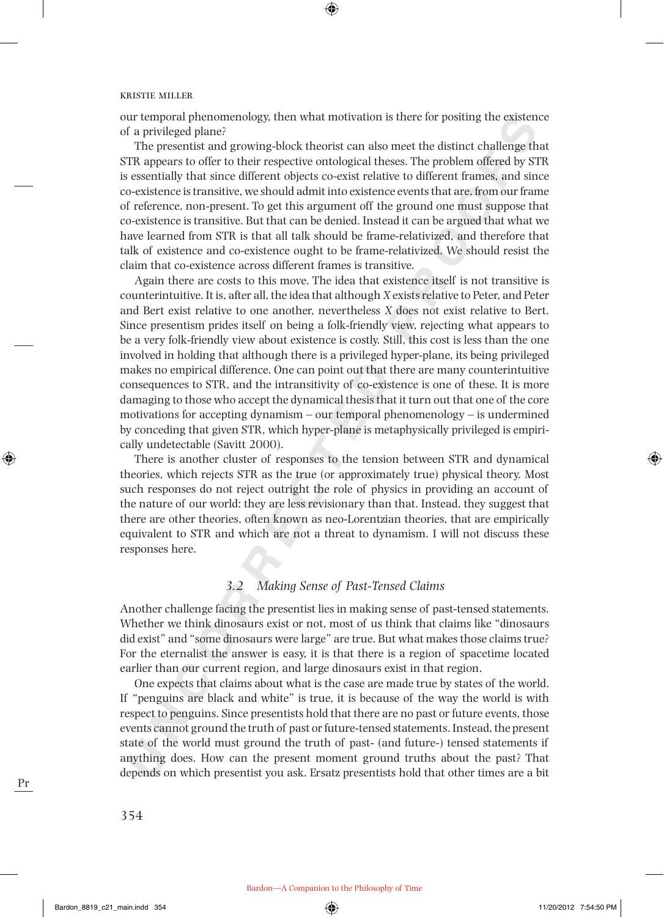our temporal phenomenology, then what motivation is there for positing the existence of a privileged plane?

 $\circledast$ 

The presentist and growing-block theorist can also meet the distinct challenge that STR appears to offer to their respective ontological theses. The problem offered by STR is essentially that since different objects co-exist relative to different frames, and since co-existence is transitive, we should admit into existence events that are, from our frame of reference, non-present. To get this argument off the ground one must suppose that co-existence is transitive. But that can be denied. Instead it can be argued that what we have learned from STR is that all talk should be frame-relativized, and therefore that talk of existence and co-existence ought to be frame-relativized. We should resist the claim that co-existence across different frames is transitive.

Again there are costs to this move. The idea that existence itself is not transitive is counterintuitive. It is, after all, the idea that although *X* exists relative to Peter, and Peter and Bert exist relative to one another, nevertheless *X* does not exist relative to Bert. Since presentism prides itself on being a folk-friendly view, rejecting what appears to be a very folk-friendly view about existence is costly. Still, this cost is less than the one involved in holding that although there is a privileged hyper-plane, its being privileged makes no empirical difference. One can point out that there are many counterintuitive consequences to STR, and the intransitivity of co-existence is one of these. It is more damaging to those who accept the dynamical thesis that it turn out that one of the core motivations for accepting dynamism – our temporal phenomenology – is undermined by conceding that given STR, which hyper-plane is metaphysically privileged is empirically undetectable (Savitt 2000).

There is another cluster of responses to the tension between STR and dynamical theories, which rejects STR as the true (or approximately true) physical theory. Most such responses do not reject outright the role of physics in providing an account of the nature of our world: they are less revisionary than that. Instead, they suggest that there are other theories, often known as neo-Lorentzian theories, that are empirically equivalent to STR and which are not a threat to dynamism. I will not discuss these responses here.

#### *3.2 Making Sense of Past-Tensed Claims*

Another challenge facing the presentist lies in making sense of past-tensed statements. Whether we think dinosaurs exist or not, most of us think that claims like "dinosaurs did exist" and "some dinosaurs were large" are true. But what makes those claims true? For the eternalist the answer is easy, it is that there is a region of spacetime located earlier than our current region, and large dinosaurs exist in that region.

One expects that claims about what is the case are made true by states of the world. If "penguins are black and white" is true, it is because of the way the world is with respect to penguins. Since presentists hold that there are no past or future events, those events cannot ground the truth of past or future-tensed statements. Instead, the present state of the world must ground the truth of past- (and future-) tensed statements if anything does. How can the present moment ground truths about the past? That depends on which presentist you ask. Ersatz presentists hold that other times are a bit

Pr

⊕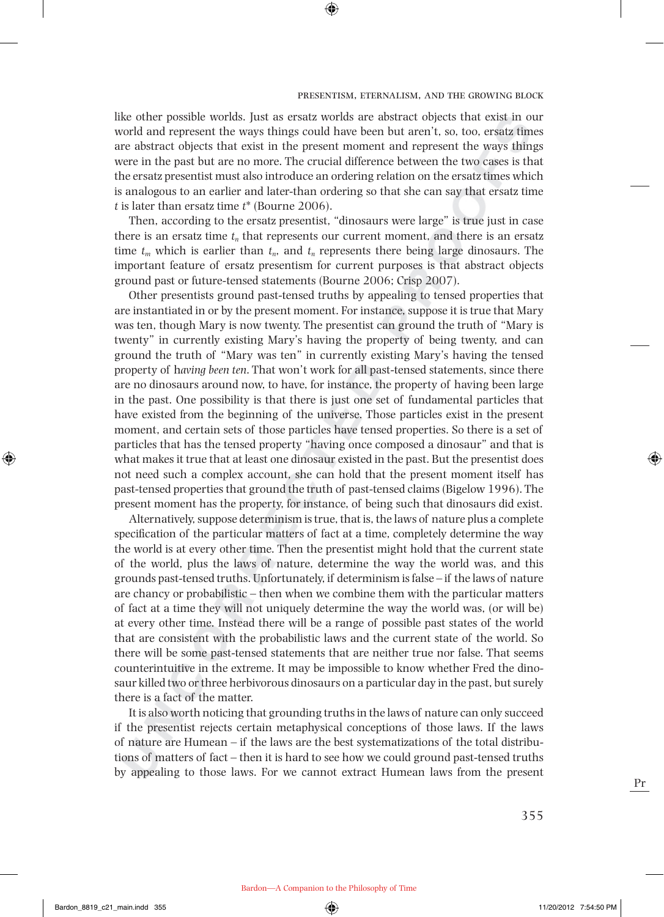like other possible worlds. Just as ersatz worlds are abstract objects that exist in our world and represent the ways things could have been but aren't, so, too, ersatz times are abstract objects that exist in the present moment and represent the ways things were in the past but are no more. The crucial difference between the two cases is that the ersatz presentist must also introduce an ordering relation on the ersatz times which is analogous to an earlier and later-than ordering so that she can say that ersatz time *t* is later than ersatz time *t*\* (Bourne 2006).

 $\circledast$ 

Then, according to the ersatz presentist, "dinosaurs were large" is true just in case there is an ersatz time  $t_n$  that represents our current moment, and there is an ersatz time  $t_m$  which is earlier than  $t_n$ , and  $t_n$  represents there being large dinosaurs. The important feature of ersatz presentism for current purposes is that abstract objects ground past or future-tensed statements (Bourne 2006; Crisp 2007).

Other presentists ground past-tensed truths by appealing to tensed properties that are instantiated in or by the present moment. For instance, suppose it is true that Mary was ten, though Mary is now twenty. The presentist can ground the truth of "Mary is twenty" in currently existing Mary's having the property of being twenty, and can ground the truth of "Mary was ten" in currently existing Mary's having the tensed property of h*aving been ten*. That won't work for all past-tensed statements, since there are no dinosaurs around now, to have, for instance, the property of having been large in the past. One possibility is that there is just one set of fundamental particles that have existed from the beginning of the universe. Those particles exist in the present moment, and certain sets of those particles have tensed properties. So there is a set of particles that has the tensed property "having once composed a dinosaur" and that is what makes it true that at least one dinosaur existed in the past. But the presentist does not need such a complex account, she can hold that the present moment itself has past-tensed properties that ground the truth of past-tensed claims (Bigelow 1996). The present moment has the property, for instance, of being such that dinosaurs did exist.

Alternatively, suppose determinism is true, that is, the laws of nature plus a complete specification of the particular matters of fact at a time, completely determine the way the world is at every other time. Then the presentist might hold that the current state of the world, plus the laws of nature, determine the way the world was, and this grounds past-tensed truths. Unfortunately, if determinism is false – if the laws of nature are chancy or probabilistic – then when we combine them with the particular matters of fact at a time they will not uniquely determine the way the world was, (or will be) at every other time. Instead there will be a range of possible past states of the world that are consistent with the probabilistic laws and the current state of the world. So there will be some past-tensed statements that are neither true nor false. That seems counterintuitive in the extreme. It may be impossible to know whether Fred the dinosaur killed two or three herbivorous dinosaurs on a particular day in the past, but surely there is a fact of the matter.

It is also worth noticing that grounding truths in the laws of nature can only succeed if the presentist rejects certain metaphysical conceptions of those laws. If the laws of nature are Humean – if the laws are the best systematizations of the total distributions of matters of fact – then it is hard to see how we could ground past-tensed truths by appealing to those laws. For we cannot extract Humean laws from the present

355

⊕

Pr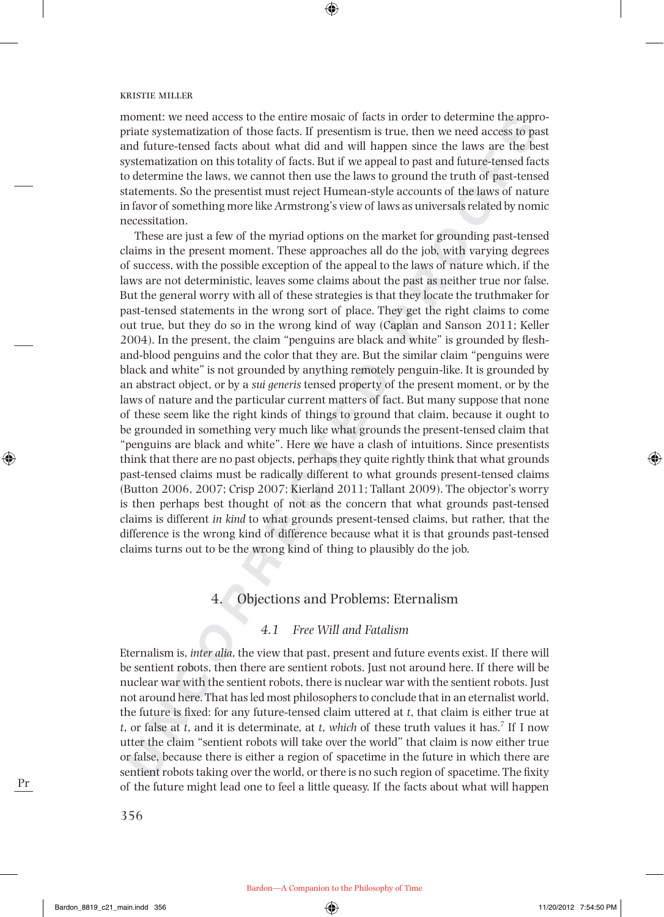moment: we need access to the entire mosaic of facts in order to determine the appropriate systematization of those facts. If presentism is true, then we need access to past and future-tensed facts about what did and will happen since the laws are the best systematization on this totality of facts. But if we appeal to past and future-tensed facts to determine the laws, we cannot then use the laws to ground the truth of past-tensed statements. So the presentist must reject Humean-style accounts of the laws of nature in favor of something more like Armstrong's view of laws as universals related by nomic necessitation.

 $\circledast$ 

These are just a few of the myriad options on the market for grounding past-tensed claims in the present moment. These approaches all do the job, with varying degrees of success, with the possible exception of the appeal to the laws of nature which, if the laws are not deterministic, leaves some claims about the past as neither true nor false. But the general worry with all of these strategies is that they locate the truthmaker for past-tensed statements in the wrong sort of place. They get the right claims to come out true, but they do so in the wrong kind of way (Caplan and Sanson 2011; Keller 2004). In the present, the claim "penguins are black and white" is grounded by fleshand-blood penguins and the color that they are. But the similar claim "penguins were black and white" is not grounded by anything remotely penguin-like. It is grounded by an abstract object, or by a *sui generis* tensed property of the present moment, or by the laws of nature and the particular current matters of fact. But many suppose that none of these seem like the right kinds of things to ground that claim, because it ought to be grounded in something very much like what grounds the present-tensed claim that "penguins are black and white". Here we have a clash of intuitions. Since presentists think that there are no past objects, perhaps they quite rightly think that what grounds past-tensed claims must be radically different to what grounds present-tensed claims (Button 2006, 2007; Crisp 2007; Kierland 2011; Tallant 2009). The objector's worry is then perhaps best thought of not as the concern that what grounds past-tensed claims is different *in kind* to what grounds present-tensed claims, but rather, that the difference is the wrong kind of difference because what it is that grounds past-tensed claims turns out to be the wrong kind of thing to plausibly do the job.

## 4. Objections and Problems: Eternalism

#### *4.1 Free Will and Fatalism*

Eternalism is, *inter alia*, the view that past, present and future events exist. If there will be sentient robots, then there are sentient robots. Just not around here. If there will be nuclear war with the sentient robots, there is nuclear war with the sentient robots. Just not around here. That has led most philosophers to conclude that in an eternalist world, the future is fixed: for any future-tensed claim uttered at *t*, that claim is either true at *t*, or false at *t*, and it is determinate, at *t*, *which* of these truth values it has.7 If I now utter the claim "sentient robots will take over the world" that claim is now either true or false, because there is either a region of spacetime in the future in which there are sentient robots taking over the world, or there is no such region of spacetime. The fixity of the future might lead one to feel a little queasy. If the facts about what will happen

Pr

⊕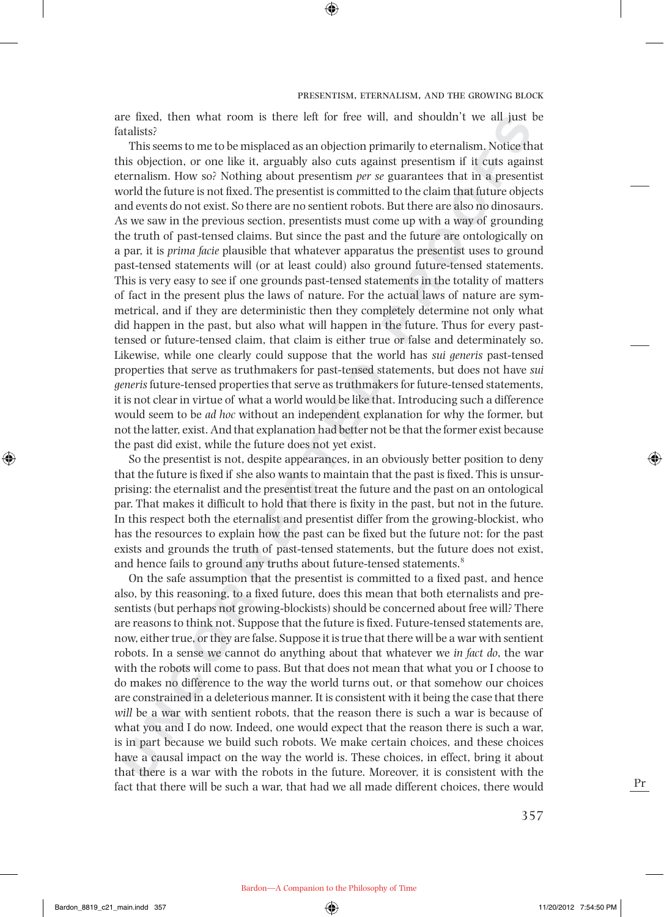are fixed, then what room is there left for free will, and shouldn't we all just be fatalists?

 $\circledast$ 

This seems to me to be misplaced as an objection primarily to eternalism. Notice that this objection, or one like it, arguably also cuts against presentism if it cuts against eternalism. How so? Nothing about presentism *per se* guarantees that in a presentist world the future is not fixed. The presentist is committed to the claim that future objects and events do not exist. So there are no sentient robots. But there are also no dinosaurs. As we saw in the previous section, presentists must come up with a way of grounding the truth of past-tensed claims. But since the past and the future are ontologically on a par, it is *prima facie* plausible that whatever apparatus the presentist uses to ground past-tensed statements will (or at least could) also ground future-tensed statements. This is very easy to see if one grounds past-tensed statements in the totality of matters of fact in the present plus the laws of nature. For the actual laws of nature are symmetrical, and if they are deterministic then they completely determine not only what did happen in the past, but also what will happen in the future. Thus for every pasttensed or future-tensed claim, that claim is either true or false and determinately so. Likewise, while one clearly could suppose that the world has *sui generis* past-tensed properties that serve as truthmakers for past-tensed statements, but does not have *sui generis* future-tensed properties that serve as truthmakers for future-tensed statements, it is not clear in virtue of what a world would be like that. Introducing such a difference would seem to be *ad hoc* without an independent explanation for why the former, but not the latter, exist. And that explanation had better not be that the former exist because the past did exist, while the future does not yet exist.

So the presentist is not, despite appearances, in an obviously better position to deny that the future is fixed if she also wants to maintain that the past is fixed. This is unsurprising: the eternalist and the presentist treat the future and the past on an ontological par. That makes it difficult to hold that there is fixity in the past, but not in the future. In this respect both the eternalist and presentist differ from the growing-blockist, who has the resources to explain how the past can be fixed but the future not: for the past exists and grounds the truth of past-tensed statements, but the future does not exist, and hence fails to ground any truths about future-tensed statements.<sup>8</sup>

On the safe assumption that the presentist is committed to a fixed past, and hence also, by this reasoning, to a fixed future, does this mean that both eternalists and presentists (but perhaps not growing-blockists) should be concerned about free will? There are reasons to think not. Suppose that the future is fixed. Future-tensed statements are, now, either true, or they are false. Suppose it is true that there will be a war with sentient robots. In a sense we cannot do anything about that whatever we *in fact do*, the war with the robots will come to pass. But that does not mean that what you or I choose to do makes no difference to the way the world turns out, or that somehow our choices are constrained in a deleterious manner. It is consistent with it being the case that there *will* be a war with sentient robots, that the reason there is such a war is because of what you and I do now. Indeed, one would expect that the reason there is such a war, is in part because we build such robots. We make certain choices, and these choices have a causal impact on the way the world is. These choices, in effect, bring it about that there is a war with the robots in the future. Moreover, it is consistent with the fact that there will be such a war, that had we all made different choices, there would

⊕

Pr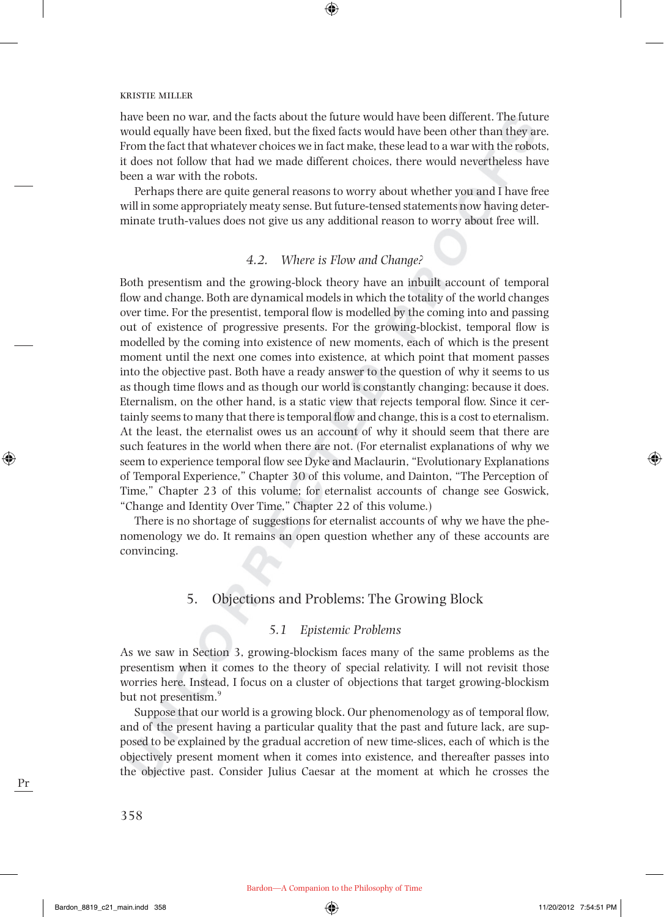have been no war, and the facts about the future would have been different. The future would equally have been fixed, but the fixed facts would have been other than they are. From the fact that whatever choices we in fact make, these lead to a war with the robots, it does not follow that had we made different choices, there would nevertheless have been a war with the robots.

 $\circledast$ 

Perhaps there are quite general reasons to worry about whether you and I have free will in some appropriately meaty sense. But future-tensed statements now having determinate truth-values does not give us any additional reason to worry about free will.

#### *4.2. Where is Flow and Change?*

Both presentism and the growing-block theory have an inbuilt account of temporal flow and change. Both are dynamical models in which the totality of the world changes over time. For the presentist, temporal flow is modelled by the coming into and passing out of existence of progressive presents. For the growing-blockist, temporal flow is modelled by the coming into existence of new moments, each of which is the present moment until the next one comes into existence, at which point that moment passes into the objective past. Both have a ready answer to the question of why it seems to us as though time flows and as though our world is constantly changing: because it does. Eternalism, on the other hand, is a static view that rejects temporal flow. Since it certainly seems to many that there is temporal flow and change, this is a cost to eternalism. At the least, the eternalist owes us an account of why it should seem that there are such features in the world when there are not. (For eternalist explanations of why we seem to experience temporal flow see Dyke and Maclaurin, "Evolutionary Explanations of Temporal Experience," Chapter 30 of this volume, and Dainton, "The Perception of Time," Chapter 23 of this volume; for eternalist accounts of change see Goswick, "Change and Identity Over Time," Chapter 22 of this volume.)

There is no shortage of suggestions for eternalist accounts of why we have the phenomenology we do. It remains an open question whether any of these accounts are convincing.

## 5. Objections and Problems: The Growing Block

#### *5.1 Epistemic Problems*

As we saw in Section 3, growing-blockism faces many of the same problems as the presentism when it comes to the theory of special relativity. I will not revisit those worries here. Instead, I focus on a cluster of objections that target growing-blockism but not presentism.<sup>9</sup>

Suppose that our world is a growing block. Our phenomenology as of temporal flow, and of the present having a particular quality that the past and future lack, are supposed to be explained by the gradual accretion of new time-slices, each of which is the objectively present moment when it comes into existence, and thereafter passes into the objective past. Consider Julius Caesar at the moment at which he crosses the

Pr

⊕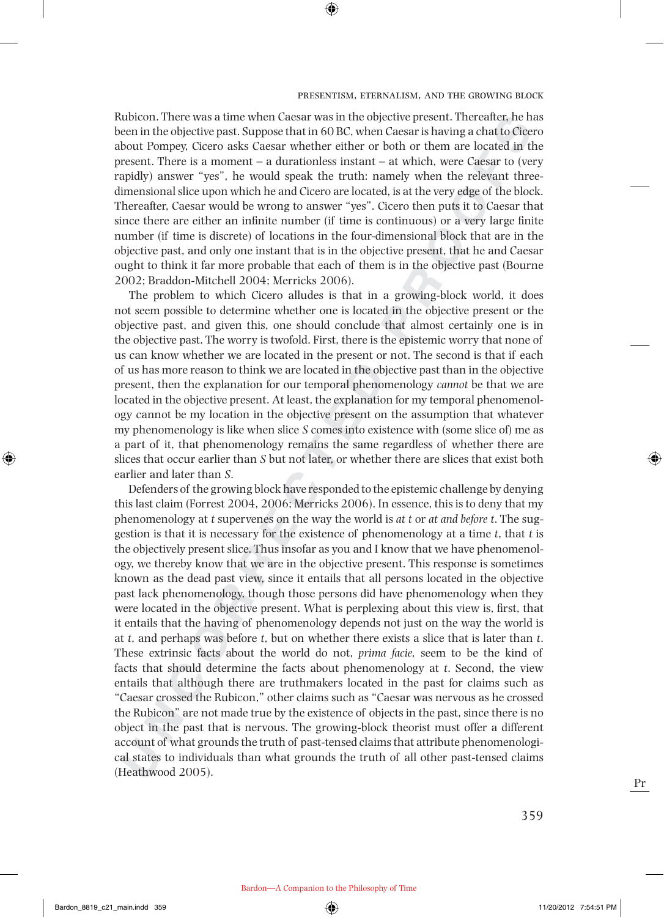Rubicon. There was a time when Caesar was in the objective present. Thereafter, he has been in the objective past. Suppose that in 60 BC, when Caesar is having a chat to Cicero about Pompey, Cicero asks Caesar whether either or both or them are located in the present. There is a moment – a durationless instant – at which, were Caesar to (very rapidly) answer "yes", he would speak the truth: namely when the relevant threedimensional slice upon which he and Cicero are located, is at the very edge of the block. Thereafter, Caesar would be wrong to answer "yes". Cicero then puts it to Caesar that since there are either an infinite number (if time is continuous) or a very large finite number (if time is discrete) of locations in the four-dimensional block that are in the objective past, and only one instant that is in the objective present, that he and Caesar ought to think it far more probable that each of them is in the objective past (Bourne 2002; Braddon-Mitchell 2004; Merricks 2006).

 $\circledast$ 

The problem to which Cicero alludes is that in a growing-block world, it does not seem possible to determine whether one is located in the objective present or the objective past, and given this, one should conclude that almost certainly one is in the objective past. The worry is twofold. First, there is the epistemic worry that none of us can know whether we are located in the present or not. The second is that if each of us has more reason to think we are located in the objective past than in the objective present, then the explanation for our temporal phenomenology *cannot* be that we are located in the objective present. At least, the explanation for my temporal phenomenology cannot be my location in the objective present on the assumption that whatever my phenomenology is like when slice *S* comes into existence with (some slice of) me as a part of it, that phenomenology remains the same regardless of whether there are slices that occur earlier than *S* but not later, or whether there are slices that exist both earlier and later than *S*.

Defenders of the growing block have responded to the epistemic challenge by denying this last claim (Forrest 2004, 2006; Merricks 2006). In essence, this is to deny that my phenomenology at *t* supervenes on the way the world is *at t* or *at and before t*. The suggestion is that it is necessary for the existence of phenomenology at a time *t*, that *t* is the objectively present slice. Thus insofar as you and I know that we have phenomenology, we thereby know that we are in the objective present. This response is sometimes known as the dead past view, since it entails that all persons located in the objective past lack phenomenology, though those persons did have phenomenology when they were located in the objective present. What is perplexing about this view is, first, that it entails that the having of phenomenology depends not just on the way the world is at *t*, and perhaps was before *t*, but on whether there exists a slice that is later than *t*. These extrinsic facts about the world do not, *prima facie,* seem to be the kind of facts that should determine the facts about phenomenology at *t*. Second, the view entails that although there are truthmakers located in the past for claims such as "Caesar crossed the Rubicon," other claims such as "Caesar was nervous as he crossed the Rubicon" are not made true by the existence of objects in the past, since there is no object in the past that is nervous. The growing-block theorist must offer a different account of what grounds the truth of past-tensed claims that attribute phenomenological states to individuals than what grounds the truth of all other past-tensed claims (Heathwood 2005).

⊕

Pr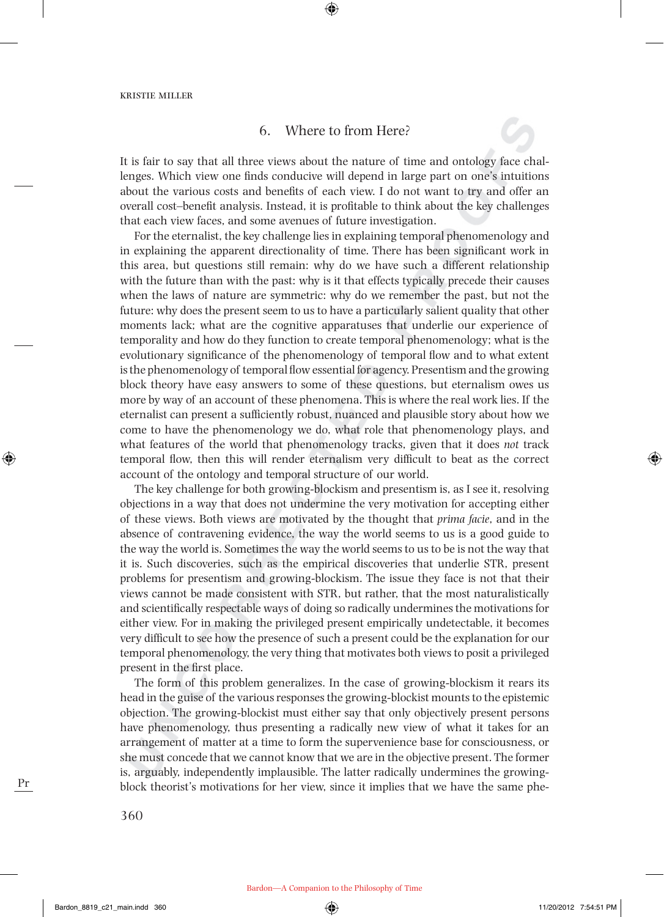## 6. Where to from Here?

 $\circledast$ 

It is fair to say that all three views about the nature of time and ontology face challenges. Which view one finds conducive will depend in large part on one's intuitions about the various costs and benefits of each view. I do not want to try and offer an overall cost–benefit analysis. Instead, it is profitable to think about the key challenges that each view faces, and some avenues of future investigation.

For the eternalist, the key challenge lies in explaining temporal phenomenology and in explaining the apparent directionality of time. There has been significant work in this area, but questions still remain: why do we have such a different relationship with the future than with the past: why is it that effects typically precede their causes when the laws of nature are symmetric: why do we remember the past, but not the future: why does the present seem to us to have a particularly salient quality that other moments lack; what are the cognitive apparatuses that underlie our experience of temporality and how do they function to create temporal phenomenology; what is the evolutionary significance of the phenomenology of temporal flow and to what extent is the phenomenology of temporal flow essential for agency. Presentism and the growing block theory have easy answers to some of these questions, but eternalism owes us more by way of an account of these phenomena. This is where the real work lies. If the eternalist can present a sufficiently robust, nuanced and plausible story about how we come to have the phenomenology we do, what role that phenomenology plays, and what features of the world that phenomenology tracks, given that it does *not* track temporal flow, then this will render eternalism very difficult to beat as the correct account of the ontology and temporal structure of our world.

The key challenge for both growing-blockism and presentism is, as I see it, resolving objections in a way that does not undermine the very motivation for accepting either of these views. Both views are motivated by the thought that *prima facie*, and in the absence of contravening evidence, the way the world seems to us is a good guide to the way the world is. Sometimes the way the world seems to us to be is not the way that it is. Such discoveries, such as the empirical discoveries that underlie STR, present problems for presentism and growing-blockism. The issue they face is not that their views cannot be made consistent with STR, but rather, that the most naturalistically and scientifically respectable ways of doing so radically undermines the motivations for either view. For in making the privileged present empirically undetectable, it becomes very difficult to see how the presence of such a present could be the explanation for our temporal phenomenology, the very thing that motivates both views to posit a privileged present in the first place.

The form of this problem generalizes. In the case of growing-blockism it rears its head in the guise of the various responses the growing-blockist mounts to the epistemic objection. The growing-blockist must either say that only objectively present persons have phenomenology, thus presenting a radically new view of what it takes for an arrangement of matter at a time to form the supervenience base for consciousness, or she must concede that we cannot know that we are in the objective present. The former is, arguably, independently implausible. The latter radically undermines the growingblock theorist's motivations for her view, since it implies that we have the same phe-

360

Pr

⊕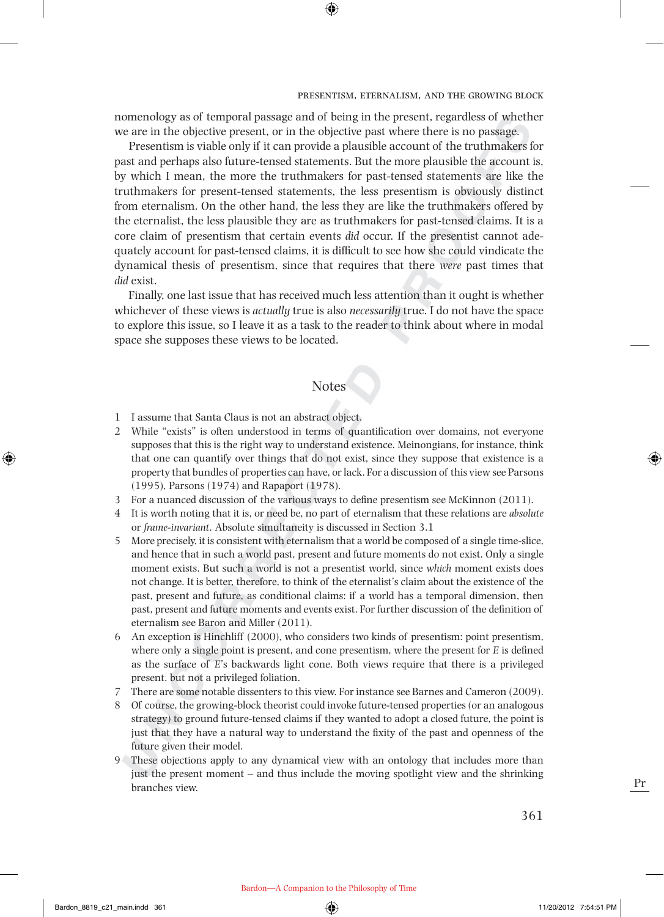nomenology as of temporal passage and of being in the present, regardless of whether we are in the objective present, or in the objective past where there is no passage.

 $\circledast$ 

Presentism is viable only if it can provide a plausible account of the truthmakers for past and perhaps also future-tensed statements. But the more plausible the account is, by which I mean, the more the truthmakers for past-tensed statements are like the truthmakers for present-tensed statements, the less presentism is obviously distinct from eternalism. On the other hand, the less they are like the truthmakers offered by the eternalist, the less plausible they are as truthmakers for past-tensed claims. It is a core claim of presentism that certain events *did* occur. If the presentist cannot adequately account for past-tensed claims, it is difficult to see how she could vindicate the dynamical thesis of presentism, since that requires that there *were* past times that *did* exist.

Finally, one last issue that has received much less attention than it ought is whether whichever of these views is *actually* true is also *necessarily* true. I do not have the space to explore this issue, so I leave it as a task to the reader to think about where in modal space she supposes these views to be located.

## Notes

- 1 I assume that Santa Claus is not an abstract object.
- 2 While "exists" is often understood in terms of quantification over domains, not everyone supposes that this is the right way to understand existence. Meinongians, for instance, think that one can quantify over things that do not exist, since they suppose that existence is a property that bundles of properties can have, or lack. For a discussion of this view see Parsons (1995), Parsons (1974) and Rapaport (1978).
- 3 For a nuanced discussion of the various ways to define presentism see McKinnon (2011).
- 4 It is worth noting that it is, or need be, no part of eternalism that these relations are *absolute* or *frame-invariant*. Absolute simultaneity is discussed in Section 3.1
- 5 More precisely, it is consistent with eternalism that a world be composed of a single time-slice, and hence that in such a world past, present and future moments do not exist. Only a single moment exists. But such a world is not a presentist world, since *which* moment exists does not change. It is better, therefore, to think of the eternalist's claim about the existence of the past, present and future, as conditional claims: if a world has a temporal dimension, then past, present and future moments and events exist. For further discussion of the definition of eternalism see Baron and Miller (2011).
- 6 An exception is Hinchliff (2000), who considers two kinds of presentism: point presentism, where only a single point is present, and cone presentism, where the present for *E* is defined as the surface of *E*'s backwards light cone. Both views require that there is a privileged present, but not a privileged foliation.
- 7 There are some notable dissenters to this view. For instance see Barnes and Cameron (2009).
- 8 Of course, the growing-block theorist could invoke future-tensed properties (or an analogous strategy) to ground future-tensed claims if they wanted to adopt a closed future, the point is just that they have a natural way to understand the fixity of the past and openness of the future given their model.
- 9 These objections apply to any dynamical view with an ontology that includes more than just the present moment – and thus include the moving spotlight view and the shrinking branches view.

⊕

Pr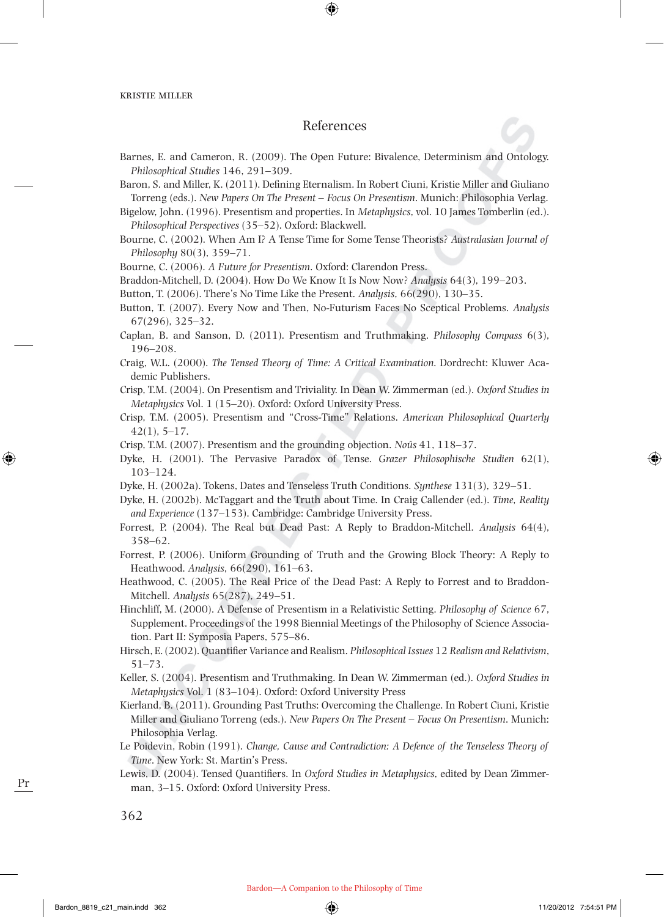### References

⊕

Barnes, E. and Cameron, R. (2009). The Open Future: Bivalence, Determinism and Ontology. *Philosophical Studies* 146, 291–309.

Baron, S. and Miller, K. (2011). Defining Eternalism. In Robert Ciuni, Kristie Miller and Giuliano Torreng (eds.). *New Papers On The Present – Focus On Presentism*. Munich: Philosophia Verlag.

Bigelow, John. (1996). Presentism and properties. In *Metaphysics*, vol. 10 James Tomberlin (ed.). *Philosophical Perspectives* (35–52). Oxford: Blackwell.

Bourne, C. (2002). When Am I? A Tense Time for Some Tense Theorists? *Australasian Journal of Philosophy* 80(3), 359–71.

Bourne, C. (2006). *A Future for Presentism*. Oxford: Clarendon Press.

Braddon-Mitchell, D. (2004). How Do We Know It Is Now Now? *Analysis* 64(3), 199–203.

Button, T. (2006). There's No Time Like the Present. *Analysis*, 66(290), 130–35.

Button, T. (2007). Every Now and Then, No-Futurism Faces No Sceptical Problems. *Analysis* 67(296), 325–32.

Caplan, B. and Sanson, D. (2011). Presentism and Truthmaking. *Philosophy Compass* 6(3), 196–208.

Craig, W.L. (2000). *The Tensed Theory of Time: A Critical Examination*. Dordrecht: Kluwer Academic Publishers.

Crisp, T.M. (2004). On Presentism and Triviality. In Dean W. Zimmerman (ed.). *Oxford Studies in Metaphysics* Vol. 1 (15–20). Oxford: Oxford University Press.

Crisp, T.M. (2005). Presentism and "Cross-Time" Relations. *American Philosophical Quarterly* 42(1), 5–17.

Crisp, T.M. (2007). Presentism and the grounding objection. *Noûs* 41, 118–37.

Dyke, H. (2001). The Pervasive Paradox of Tense. *Grazer Philosophische Studien* 62(1), 103–124.

Dyke, H. (2002a). Tokens, Dates and Tenseless Truth Conditions. *Synthese* 131(3), 329–51.

Dyke, H. (2002b). McTaggart and the Truth about Time. In Craig Callender (ed.). *Time, Reality and Experience* (137–153). Cambridge: Cambridge University Press.

Forrest, P. (2004). The Real but Dead Past: A Reply to Braddon-Mitchell. *Analysis* 64(4), 358–62.

Forrest, P. (2006). Uniform Grounding of Truth and the Growing Block Theory: A Reply to Heathwood. *Analysis*, 66(290), 161–63.

Heathwood, C. (2005). The Real Price of the Dead Past: A Reply to Forrest and to Braddon-Mitchell. *Analysis* 65(287), 249–51.

Hinchliff, M. (2000). A Defense of Presentism in a Relativistic Setting. *Philosophy of Science* 67, Supplement. Proceedings of the 1998 Biennial Meetings of the Philosophy of Science Association. Part II: Symposia Papers, 575–86.

Hirsch, E. (2002). Quantifier Variance and Realism. *Philosophical Issues* 12 *Realism and Relativism*, 51–73.

Keller, S. (2004). Presentism and Truthmaking. In Dean W. Zimmerman (ed.). *Oxford Studies in Metaphysics* Vol. 1 (83–104). Oxford: Oxford University Press

Kierland, B. (2011). Grounding Past Truths: Overcoming the Challenge. In Robert Ciuni, Kristie Miller and Giuliano Torreng (eds.). *New Papers On The Present – Focus On Presentism*. Munich: Philosophia Verlag.

Le Poidevin, Robin (1991). *Change, Cause and Contradiction: A Defence of the Tenseless Theory of Time*. New York: St. Martin's Press.

Lewis, D. (2004). Tensed Quantifiers. In *Oxford Studies in Metaphysics*, edited by Dean Zimmerman, 3–15. Oxford: Oxford University Press.

362

Pr

⊕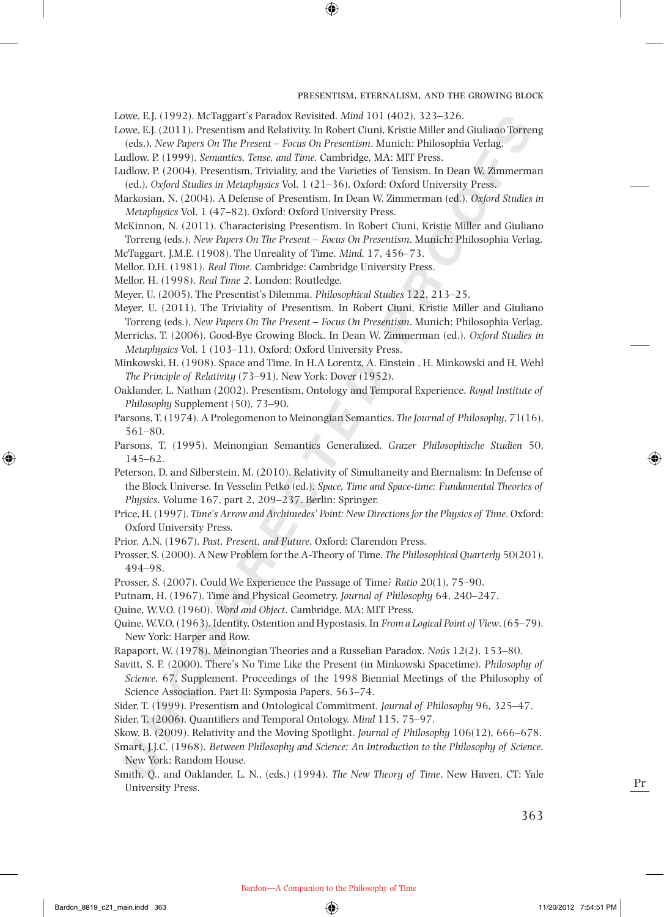Lowe, E.J. (1992). McTaggart's Paradox Revisited. *Mind* 101 (402), 323–326.

Lowe, E.J. (2011). Presentism and Relativity. In Robert Ciuni, Kristie Miller and Giuliano Torreng

⊕

- (eds.). *New Papers On The Present Focus On Presentism*. Munich: Philosophia Verlag.
- Ludlow. P. (1999). *Semantics, Tense, and Time.* Cambridge, MA: MIT Press.
- Ludlow, P. (2004). Presentism, Triviality, and the Varieties of Tensism. In Dean W. Zimmerman (ed.). *Oxford Studies in Metaphysics* Vol. 1 (21–36). Oxford: Oxford University Press.
- Markosian, N. (2004). A Defense of Presentism. In Dean W. Zimmerman (ed.). *Oxford Studies in Metaphysics* Vol. 1 (47–82). Oxford: Oxford University Press.
- McKinnon, N. (2011). Characterising Presentism. In Robert Ciuni, Kristie Miller and Giuliano Torreng (eds.). *New Papers On The Present – Focus On Presentism*. Munich: Philosophia Verlag. McTaggart, J.M.E. (1908). The Unreality of Time. *Mind*, 17, 456–73.
- 
- Mellor, D.H. (1981). *Real Time*. Cambridge: Cambridge University Press.
- Mellor, H. (1998). *Real Time 2*. London: Routledge.
- Meyer, U. (2005). The Presentist's Dilemma. *Philosophical Studies* 122, 213–25.
- Meyer, U. (2011). The Triviality of Presentism. In Robert Ciuni, Kristie Miller and Giuliano Torreng (eds.). *New Papers On The Present – Focus On Presentism*. Munich: Philosophia Verlag.

Merricks, T. (2006). Good-Bye Growing Block. In Dean W. Zimmerman (ed.). *Oxford Studies in Metaphysics* Vol. 1 (103–11). Oxford: Oxford University Press.

- Minkowski, H. (1908). Space and Time. In H.A Lorentz, A. Einstein , H. Minkowski and H. Wehl *The Principle of Relativity* (73–91). New York: Dover (1952).
- Oaklander, L. Nathan (2002). Presentism, Ontology and Temporal Experience. *Royal Institute of Philosophy* Supplement (50), 73–90.
- Parsons, T. (1974). A Prolegomenon to Meinongian Semantics. *The Journal of Philosophy*, 71(16), 561–80.
- Parsons, T. (1995). Meinongian Semantics Generalized. *Grazer Philosophische Studien* 50, 145–62.
- Peterson, D. and Silberstein, M. (2010). Relativity of Simultaneity and Eternalism: In Defense of the Block Universe. In Vesselin Petko (ed.). *Space, Time and Space-time: Fundamental Theories of Physics*. Volume 167, part 2, 209–237. Berlin: Springer.
- Price, H. (1997). *Time's Arrow and Archimedes' Point: New Directions for the Physics of Time*. Oxford: Oxford University Press.
- Prior, A.N. (1967). *Past, Present, and Future*. Oxford: Clarendon Press.
- Prosser, S. (2000). A New Problem for the A-Theory of Time. *The Philosophical Quarterly* 50(201), 494–98.
- Prosser, S. (2007). Could We Experience the Passage of Time? *Ratio* 20(1), 75–90.
- Putnam, H. (1967). Time and Physical Geometry. *Journal of Philosophy* 64, 240–247.
- Quine, W.V.O. (1960). *Word and Object*. Cambridge, MA: MIT Press.
- Quine, W.V.O. (1963). Identity, Ostention and Hypostasis. In *From a Logical Point of View*. (65–79). New York: Harper and Row.
- Rapaport, W. (1978). Meinongian Theories and a Russelian Paradox. *Noûs* 12(2), 153–80.
- Savitt, S. F. (2000). There's No Time Like the Present (in Minkowski Spacetime). *Philosophy of Science*, 67, Supplement. Proceedings of the 1998 Biennial Meetings of the Philosophy of Science Association. Part II: Symposia Papers, 563–74.
- Sider, T. (1999). Presentism and Ontological Commitment. *Journal of Philosophy* 96, 325–47. Sider, T. (2006). Quantifiers and Temporal Ontology. *Mind* 115, 75–97.
- Skow, B. (2009). Relativity and the Moving Spotlight. *Journal of Philosophy* 106(12), 666–678.
- Smart, J.J.C. (1968). *Between Philosophy and Science: An Introduction to the Philosophy of Science.* New York: Random House.
- Smith, Q., and Oaklander, L. N., (eds.) (1994). *The New Theory of Time*. New Haven, CT: Yale University Press.

⊕

Pr